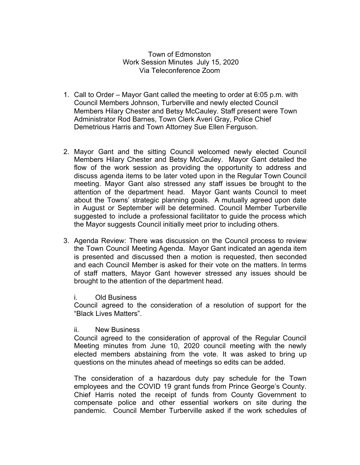## Town of Edmonston Work Session Minutes July 15, 2020 Via Teleconference Zoom

- 1. Call to Order Mayor Gant called the meeting to order at 6:05 p.m. with Council Members Johnson, Turberville and newly elected Council Members Hilary Chester and Betsy McCauley. Staff present were Town Administrator Rod Barnes, Town Clerk Averi Gray, Police Chief Demetrious Harris and Town Attorney Sue Ellen Ferguson.
- 2. Mayor Gant and the sitting Council welcomed newly elected Council Members Hilary Chester and Betsy McCauley. Mayor Gant detailed the flow of the work session as providing the opportunity to address and discuss agenda items to be later voted upon in the Regular Town Council meeting. Mayor Gant also stressed any staff issues be brought to the attention of the department head. Mayor Gant wants Council to meet about the Towns' strategic planning goals. A mutually agreed upon date in August or September will be determined. Council Member Turberville suggested to include a professional facilitator to guide the process which the Mayor suggests Council initially meet prior to including others.
- 3. Agenda Review: There was discussion on the Council process to review the Town Council Meeting Agenda. Mayor Gant indicated an agenda item is presented and discussed then a motion is requested, then seconded and each Council Member is asked for their vote on the matters. In terms of staff matters, Mayor Gant however stressed any issues should be brought to the attention of the department head.
	- i. Old Business

Council agreed to the consideration of a resolution of support for the "Black Lives Matters".

ii. New Business

Council agreed to the consideration of approval of the Regular Council Meeting minutes from June 10, 2020 council meeting with the newly elected members abstaining from the vote. It was asked to bring up questions on the minutes ahead of meetings so edits can be added.

The consideration of a hazardous duty pay schedule for the Town employees and the COVID 19 grant funds from Prince George's County. Chief Harris noted the receipt of funds from County Government to compensate police and other essential workers on site during the pandemic. Council Member Turberville asked if the work schedules of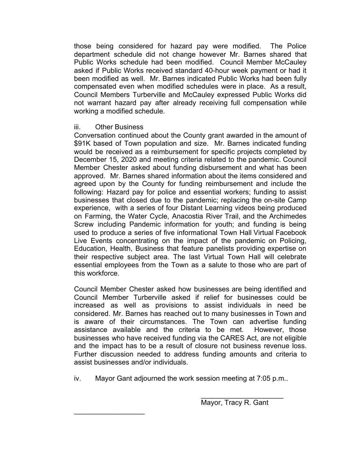those being considered for hazard pay were modified. The Police department schedule did not change however Mr. Barnes shared that Public Works schedule had been modified. Council Member McCauley asked if Public Works received standard 40-hour week payment or had it been modified as well. Mr. Barnes indicated Public Works had been fully compensated even when modified schedules were in place. As a result, Council Members Turberville and McCauley expressed Public Works did not warrant hazard pay after already receiving full compensation while working a modified schedule.

## iii. Other Business

 $\frac{1}{2}$  ,  $\frac{1}{2}$  ,  $\frac{1}{2}$  ,  $\frac{1}{2}$  ,  $\frac{1}{2}$  ,  $\frac{1}{2}$  ,  $\frac{1}{2}$  ,  $\frac{1}{2}$  ,  $\frac{1}{2}$ 

Conversation continued about the County grant awarded in the amount of \$91K based of Town population and size. Mr. Barnes indicated funding would be received as a reimbursement for specific projects completed by December 15, 2020 and meeting criteria related to the pandemic. Council Member Chester asked about funding disbursement and what has been approved. Mr. Barnes shared information about the items considered and agreed upon by the County for funding reimbursement and include the following: Hazard pay for police and essential workers; funding to assist businesses that closed due to the pandemic; replacing the on-site Camp experience, with a series of four Distant Learning videos being produced on Farming, the Water Cycle, Anacostia River Trail, and the Archimedes Screw including Pandemic information for youth; and funding is being used to produce a series of five informational Town Hall Virtual Facebook Live Events concentrating on the impact of the pandemic on Policing, Education, Health, Business that feature panelists providing expertise on their respective subject area. The last Virtual Town Hall will celebrate essential employees from the Town as a salute to those who are part of this workforce.

Council Member Chester asked how businesses are being identified and Council Member Turberville asked if relief for businesses could be increased as well as provisions to assist individuals in need be considered. Mr. Barnes has reached out to many businesses in Town and is aware of their circumstances. The Town can advertise funding assistance available and the criteria to be met. However, those businesses who have received funding via the CARES Act, are not eligible and the impact has to be a result of closure not business revenue loss. Further discussion needed to address funding amounts and criteria to assist businesses and/or individuals.

iv. Mayor Gant adjourned the work session meeting at 7:05 p.m..

 $\_$ Mayor, Tracy R. Gant